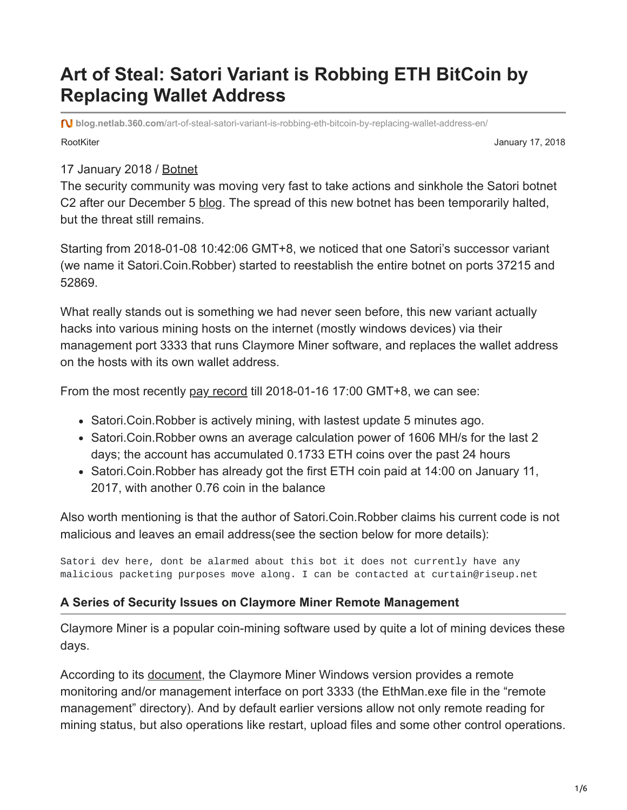# **Art of Steal: Satori Variant is Robbing ETH BitCoin by Replacing Wallet Address**

RootKiter **Network 1988** and 2018 and 2018 and 2018 and 2018 and 2018 and 2018 and 2018 and 2018 and 2018 and 2018 **blog.netlab.360.com**[/art-of-steal-satori-variant-is-robbing-eth-bitcoin-by-replacing-wallet-address-en/](http://blog.netlab.360.com/art-of-steal-satori-variant-is-robbing-eth-bitcoin-by-replacing-wallet-address-en/)

### 17 January 2018 / [Botnet](http://blog.netlab.360.com/tag/botnet/)

The security community was moving very fast to take actions and sinkhole the Satori botnet C2 after our December 5 [blog](http://blog.netlab.360.com/warning-satori-a-new-mirai-variant-is-spreading-in-worm-style-on-port-37215-and-52869-en/). The spread of this new botnet has been temporarily halted, but the threat still remains.

Starting from 2018-01-08 10:42:06 GMT+8, we noticed that one Satori's successor variant (we name it Satori.Coin.Robber) started to reestablish the entire botnet on ports 37215 and 52869.

What really stands out is something we had never seen before, this new variant actually hacks into various mining hosts on the internet (mostly windows devices) via their management port 3333 that runs Claymore Miner software, and replaces the wallet address on the hosts with its own wallet address.

From the most recently [pay record](http://dwarfpool.com/eth/address?wallet=B15A5332eB7cD2DD7a4Ec7f96749E769A371572d&allpayouts=1) till 2018-01-16 17:00 GMT+8, we can see:

- Satori. Coin. Robber is actively mining, with lastest update 5 minutes ago.
- Satori. Coin. Robber owns an average calculation power of 1606 MH/s for the last 2 days; the account has accumulated 0.1733 ETH coins over the past 24 hours
- Satori.Coin.Robber has already got the first ETH coin paid at 14:00 on January 11, 2017, with another 0.76 coin in the balance

Also worth mentioning is that the author of Satori.Coin.Robber claims his current code is not malicious and leaves an email address(see the section below for more details):

Satori dev here, dont be alarmed about this bot it does not currently have any malicious packeting purposes move along. I can be contacted at curtain@riseup.net

# **A Series of Security Issues on Claymore Miner Remote Management**

Claymore Miner is a popular coin-mining software used by quite a lot of mining devices these days.

According to its [document](https://github.com/nanopool/Claymore-Dual-Miner), the Claymore Miner Windows version provides a remote monitoring and/or management interface on port 3333 (the EthMan.exe file in the "remote management" directory). And by default earlier versions allow not only remote reading for mining status, but also operations like restart, upload files and some other control operations.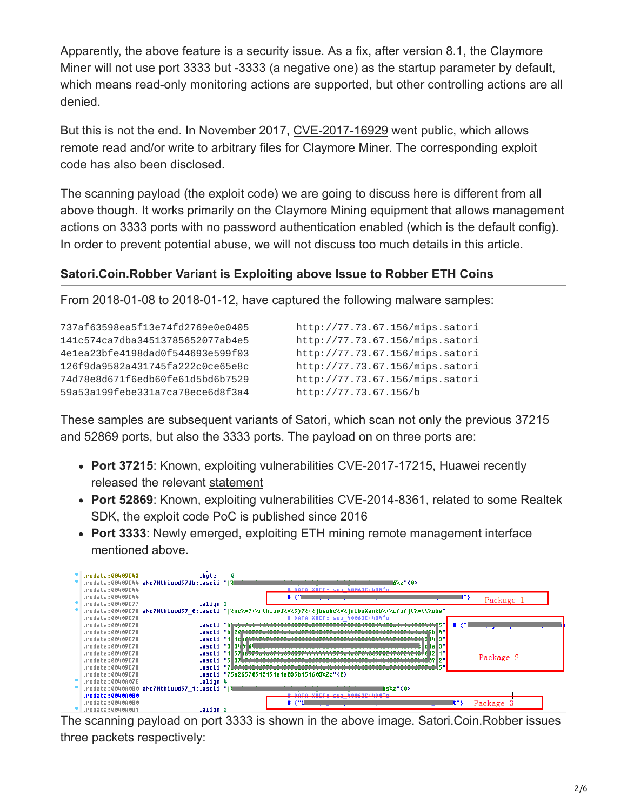Apparently, the above feature is a security issue. As a fix, after version 8.1, the Claymore Miner will not use port 3333 but -3333 (a negative one) as the startup parameter by default, which means read-only monitoring actions are supported, but other controlling actions are all denied.

But this is not the end. In November 2017, [CVE-2017-16929](https://cve.mitre.org/cgi-bin/cvename.cgi?name=CVE-2017-16929) went public, which allows [remote read and/or write to arbitrary files for Claymore Miner. The corresponding exploit](https://www.exploit-db.com/exploits/43231/) code has also been disclosed.

The scanning payload (the exploit code) we are going to discuss here is different from all above though. It works primarily on the Claymore Mining equipment that allows management actions on 3333 ports with no password authentication enabled (which is the default config). In order to prevent potential abuse, we will not discuss too much details in this article.

# **Satori.Coin.Robber Variant is Exploiting above Issue to Robber ETH Coins**

From 2018-01-08 to 2018-01-12, have captured the following malware samples:

| 737af63598ea5f13e74fd2769e0e0405 | http://77.73.67.156/mips.satori |
|----------------------------------|---------------------------------|
| 141c574ca7dba34513785652077ab4e5 | http://77.73.67.156/mips.satori |
| 4e1ea23bfe4198dad0f544693e599f03 | http://77.73.67.156/mips.satori |
| 126f9da9582a431745fa222c0ce65e8c | http://77.73.67.156/mips.satori |
| 74d78e8d671f6edb60fe61d5bd6b7529 | http://77.73.67.156/mips.satori |
| 59a53a199febe331a7ca78ece6d8f3a4 | http://77.73.67.156/b           |
|                                  |                                 |

These samples are subsequent variants of Satori, which scan not only the previous 37215 and 52869 ports, but also the 3333 ports. The payload on on three ports are:

- **Port 37215**: Known, exploiting vulnerabilities CVE-2017-17215, Huawei recently released the relevant [statement](http://www.huawei.com/en/psirt/security-notices/huawei-sn-20171130-01-hg532-en)
- **Port 52869**: Known, exploiting vulnerabilities CVE-2014-8361, related to some Realtek SDK, the [exploit code PoC](https://www.exploit-db.com/exploits/37169/) is published since 2016
- **Port 3333**: Newly emerged, exploiting ETH mining remote management interface mentioned above.

| .rodata:00409E43    | .bute                                       |                                                                                                         |
|---------------------|---------------------------------------------|---------------------------------------------------------------------------------------------------------|
|                     | .rodata:00409E44 aNc7Mthiuwd57Jb:.ascii " % | 6%z"<0>                                                                                                 |
| $r$ odata: 00409E44 |                                             | # DATA XREE: sub 48863C+498To                                                                           |
| .rodata:00409E44    |                                             | $#$ $"$<br>Package 1                                                                                    |
| .rodata:00409E77    | .align 2                                    |                                                                                                         |
|                     |                                             | rodata:00409E78 aNc7Mthiuwd57 0:.ascii " %nc%=7+%mthiuwd%=%5)7%+%jbsohc%=%jnibuXankb%+%wfufjt%=\\%ube". |
| .rodata:00409E78    |                                             | # DATA XREF: sub 40063C+4B4To                                                                           |
| .rodata:00409E78    | .ascii "h <b>ur</b>                         | $\#$ $\langle \cdot \cdot \cdot \rangle$                                                                |
| .rodata:00409E78    |                                             | .ascii "b <b>1</b> 2004                                                                                 |
| .rodata:00409E78    |                                             | .ascii "1.1dH                                                                                           |
| rodata:00409E78     |                                             | .ascii "313431                                                                                          |
| .rodata:00409E78    | .ascii "1‼57                                | Package 2                                                                                               |
| .rodata:00409F78    | .ascii "5∎37                                |                                                                                                         |
| rodata:00409E78     | .ascii                                      | - 11 7                                                                                                  |
| .rodata:00409E78    |                                             | .ascii "75a26570512151a1a035b151603%Zz"<0>                                                              |
| .rodata:0040A07E    | .align 4                                    |                                                                                                         |
|                     | .rodata:0040A080 aNc7Mthiuwd57 1:.ascii " % | hs%z"<0>                                                                                                |
| .rodata:0040A080    |                                             |                                                                                                         |
| .rodata:0040A080    |                                             | # {"i<br>Package 3                                                                                      |
| .rodata:0040A0B1    | .align 2                                    |                                                                                                         |

The scanning payload on port 3333 is shown in the above image. Satori.Coin.Robber issues three packets respectively: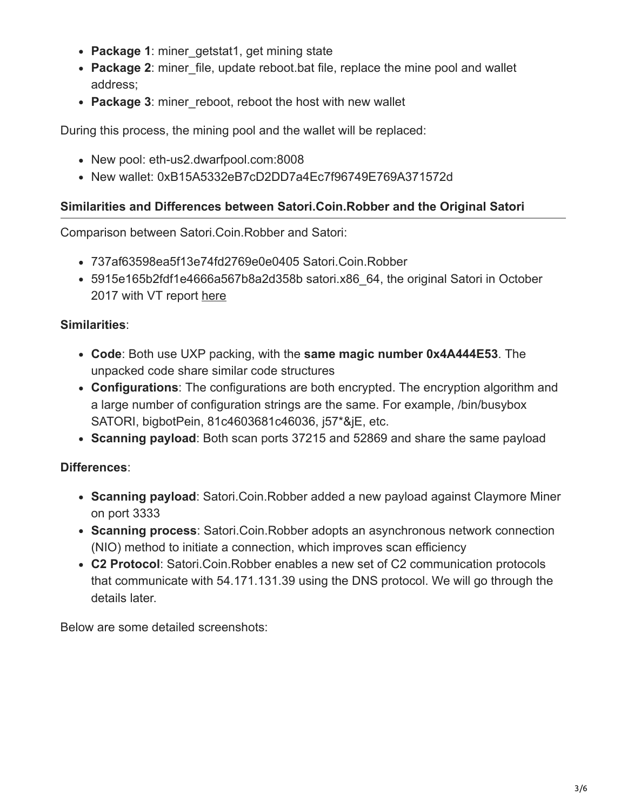- Package 1: miner\_getstat1, get mining state
- Package 2: miner file, update reboot bat file, replace the mine pool and wallet address;
- Package 3: miner reboot, reboot the host with new wallet

During this process, the mining pool and the wallet will be replaced:

- New pool: eth-us2.dwarfpool.com:8008
- New wallet: 0xB15A5332eB7cD2DD7a4Ec7f96749E769A371572d

#### **Similarities and Differences between Satori.Coin.Robber and the Original Satori**

Comparison between Satori.Coin.Robber and Satori:

- 737af63598ea5f13e74fd2769e0e0405 Satori.Coin.Robber
- 5915e165b2fdf1e4666a567b8a2d358b satori.x86\_64, the original Satori in October 2017 with VT report [here](https://www.virustotal.com/zh-cn/en-US/file/2a41a98e3889c9a1054ecf652e7b036b51d452a89c74d030663c6e7c6efe5550/analysis/)

# **Similarities**:

- **Code**: Both use UXP packing, with the **same magic number 0x4A444E53**. The unpacked code share similar code structures
- **Configurations**: The configurations are both encrypted. The encryption algorithm and a large number of configuration strings are the same. For example, /bin/busybox SATORI, bigbotPein, 81c4603681c46036, j57\*&jE, etc.
- **Scanning payload**: Both scan ports 37215 and 52869 and share the same payload

# **Differences**:

- **Scanning payload**: Satori.Coin.Robber added a new payload against Claymore Miner on port 3333
- **Scanning process**: Satori.Coin.Robber adopts an asynchronous network connection (NIO) method to initiate a connection, which improves scan efficiency
- **C2 Protocol**: Satori.Coin.Robber enables a new set of C2 communication protocols that communicate with 54.171.131.39 using the DNS protocol. We will go through the details later.

Below are some detailed screenshots: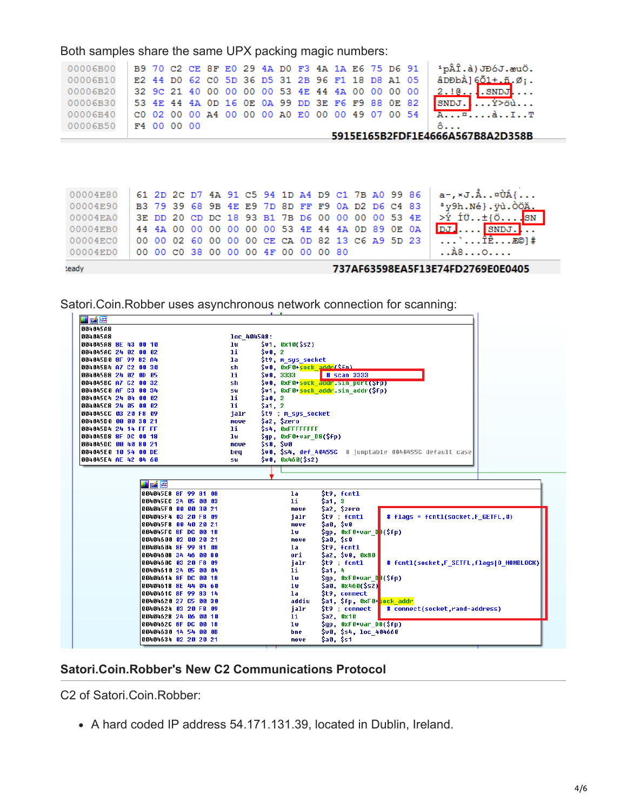Both samples share the same UPX packing magic numbers:

| 00006B00 |                                                 |  |  |  |  |  |  |  | B9 70 C2 CE 8F E0 29 4A D0 F3 4A 1A E6 75 D6 91   $i$ pÂÎ.à) JĐóJ.euÖ.              |
|----------|-------------------------------------------------|--|--|--|--|--|--|--|-------------------------------------------------------------------------------------|
| 00006B10 |                                                 |  |  |  |  |  |  |  | E2 44 D0 62 C0 5D 36 D5 31 2B 96 F1 18 D8 A1 05   âDĐbÀ] $61+16$ , Ø <sub>1</sub> . |
| 00006B20 | 32 9C 21 40 00 00 00 00 53 4E 44 4A 00 00 00 00 |  |  |  |  |  |  |  | <u>2.10sndJ</u>                                                                     |
| 00006B30 | 53 4E 44 4A 0D 16 0E 0A 99 DD 3E F6 F9 88 0E 82 |  |  |  |  |  |  |  | $SNDJ.$ $\ldots$ $\overleftrightarrow{Y}$ $\partial \dot{u}$                        |
| 00006B40 |                                                 |  |  |  |  |  |  |  |                                                                                     |
| 00006B50 | F400000                                         |  |  |  |  |  |  |  | $\hat{\mathbf{o}}$                                                                  |
|          |                                                 |  |  |  |  |  |  |  | 5915E165B2FDF1E4666A567B8A2D358B                                                    |

|                                                          |  |  |  |  |  |  |  |                                                 | $00004E80$ 61 2D 2C D7 4A 91 C5 94 1D A4 D9 C1 7B A0 99 86 a-, xJ.Amunitives |
|----------------------------------------------------------|--|--|--|--|--|--|--|-------------------------------------------------|------------------------------------------------------------------------------|
| 00004E90                                                 |  |  |  |  |  |  |  | B3 79 39 68 9B 4E E9 7D 8D FF F9 0A D2 D6 C4 83 | °v9h.Né}.ÿù.ÒÖÄ.                                                             |
| 00004EA0 3E DD 20 CD DC 18 93 B1 7B D6 00 00 00 00 53 4E |  |  |  |  |  |  |  |                                                 | >Ý Íܱ{Ö <mark>SN</mark>                                                      |
| 00004EB0 44 4A 00 00 00 00 00 00 53 4E 44 4A 0D 89 0E 0A |  |  |  |  |  |  |  |                                                 | $DJ$ $SNDJ$                                                                  |
|                                                          |  |  |  |  |  |  |  |                                                 | 00004EC0 00 00 02 60 00 00 00 CE CA 0D 82 13 C6 A9 5D 23  ' IE EQ1#          |
| 00004ED0 00 00 C0 38 00 00 00 4F 00 00 00 80             |  |  |  |  |  |  |  |                                                 | $\ldots$ $\mathbb{A}$ 8 $\circ$                                              |
| teady.                                                   |  |  |  |  |  |  |  |                                                 | 737AF63598EA5F13E74FD2769E0E0405                                             |

Satori.Coin.Robber uses asynchronous network connection for scanning:

| <u>i zip</u>         |                                              |                     |                                        |                                                          |
|----------------------|----------------------------------------------|---------------------|----------------------------------------|----------------------------------------------------------|
| 004045A8             |                                              |                     |                                        |                                                          |
| 884845A8             |                                              | loc 4045A8:         |                                        |                                                          |
| 004045A8 8E 43 00 10 |                                              | lω                  | $$v1, 0x10($ \$s2)                     |                                                          |
| 004045AC 24 02 00 02 |                                              | 1i<br>$\frac{1}{2}$ |                                        |                                                          |
| 004045B0 8F 99 82 A4 |                                              | la                  | \$t9, m sys socket                     |                                                          |
| 004045B4 A7 C2 00 30 |                                              | sh                  | Sv0, 0xF0+ <mark>sock addr(Sfn)</mark> |                                                          |
| 004045B8 24 02 0D 05 |                                              | 1i                  | <b>\$∪0, 3333</b>                      | # scan 3333                                              |
| 004045BC A7 C2 00 32 |                                              | sh                  |                                        | \$v0, 0xF0+sock addr.sin port(\$+p)                      |
| 004045C0 AF C3 00 34 |                                              | <b>SW</b>           |                                        | \$v1, 0xF0+ <mark>sock addr</mark> .sin addr(\$fp)       |
| 004045C4 24 04 00 02 |                                              | 1i<br>\$a0, 2       |                                        |                                                          |
| 004045C8 24 05 00 02 |                                              | 1i.<br>\$a1, 2      |                                        |                                                          |
| 004045CC 03 20 F8 09 |                                              | jalr                | \$t9 = m sys socket                    |                                                          |
| 004045D0 00 00 30 21 |                                              | move                | \$a2, \$zero                           |                                                          |
| 004045D4 24 14 FF FF |                                              | 1i                  | <b><i>Ss4, OXFFFFFFFF</i></b>          |                                                          |
| 004045D8 8F DC 00 18 |                                              | 1w                  | \$qp, 0xF0+var D8(\$fp)                |                                                          |
| 004045DC 00 40 80 21 |                                              | \$s0, \$v0<br>move  |                                        |                                                          |
| 004045E0 10 54 00 DE |                                              | beq                 |                                        | \$v0, \$s4, def_40455C # jumptable 0040455C default case |
| 004045E4 AE 42 04 60 |                                              | SW.                 | <b>SuB, 0x460(\$s2)</b>                |                                                          |
| <b>IFARE</b>         |                                              |                     |                                        |                                                          |
|                      | 004045E8 8F 99 81 08<br>004045EC 24 05 00 03 |                     | la<br>1i                               | \$t9, fcntl<br>\$a1, 3                                   |
|                      | 004045F0 00 00 30 21                         |                     | move                                   | \$a2, \$zero                                             |
|                      | 004045F4 03 20 F8 09                         |                     | jalr                                   | $$t9$ fentl<br># flaqs = fcntl(socket,F GETFL,0)         |
|                      | 004045F8 00 40 20 21                         |                     | move                                   | Sa0, Su0                                                 |
|                      | 004045FC 8F DC 00 18                         |                     | 1w                                     | \$qp, 0xF0+var D <mark>B(\$fp)</mark>                    |
|                      | 00404600 02 00 20 21                         |                     | move                                   | Sa0, Ss0                                                 |
|                      | 00404604 8F 99 81 08                         |                     | la                                     | \$t9, fentl                                              |
|                      | 00404608 34 46 00 80                         |                     | ori                                    | \$a2, \$v8, 0x88                                         |
|                      | 0040460C 03 20 F8 09                         |                     | ialr                                   | $$t9$ fentl<br># fcntl(socket,F SETFL,flags 0 NONBLOCK)  |
|                      | 00404610 24 05 00 04                         |                     | 1i                                     | <b>Sa1.4</b>                                             |
|                      | 00404614 8F DC 00 18                         |                     | 1w<br>1w                               | \$qp, 0xF0+var DB(\$fp)                                  |
|                      | 00404618 8E 44 04 60                         |                     |                                        | $\sin 0, \sin 460 (\sin 2)$                              |
|                      | 0040461C 8F 99 83 14                         |                     | la                                     | \$t9, connect                                            |
|                      | 00404620 27 C5 00 30<br>00404624 03 20 F8 09 |                     | addiu                                  | \$a1, \$fp, 0xF0+ <mark>5ock addr</mark>                 |
|                      | 00404628 24 06 00 10                         |                     | jalr<br>1i.                            | \$t9 ; connect<br># connect(socket,rand-address)         |
|                      | 0040462C 8F DC 00 18                         |                     | 1w.                                    | \$a2, 0x10                                               |
|                      | 00404630 14 54 00 0B                         |                     | bne                                    | \$qp, 0xF0+var D8(\$fp)<br><b>\$00, \$54, loc 404660</b> |

#### **Satori.Coin.Robber's New C2 Communications Protocol**

C2 of Satori.Coin.Robber:

A hard coded IP address 54.171.131.39, located in Dublin, Ireland.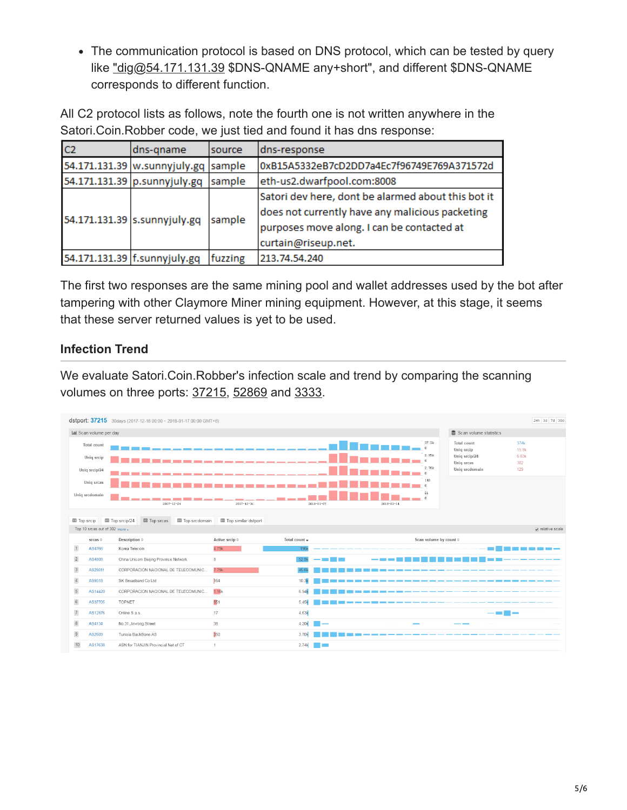• The communication protocol is based on DNS protocol, which can be tested by query like ["dig@54.171.131.39](http://10.10.0.46/mailto:%22dig@54.171.131.39) \$DNS-QNAME any+short", and different \$DNS-QNAME corresponds to different function.

All C2 protocol lists as follows, note the fourth one is not written anywhere in the Satori.Coin.Robber code, we just tied and found it has dns response:

| C <sub>2</sub> | dns-gname                            | source  | dns-response                                                                                          |
|----------------|--------------------------------------|---------|-------------------------------------------------------------------------------------------------------|
|                | 54.171.131.39 w.sunnyjuly.gq  sample |         | 0xB15A5332eB7cD2DD7a4Ec7f96749E769A371572d                                                            |
|                | 54.171.131.39 p.sunnyjuly.gq         | sample  | eth-us2.dwarfpool.com:8008                                                                            |
|                |                                      |         | Satori dev here, dont be alarmed about this bot it<br>does not currently have any malicious packeting |
|                | 54.171.131.39 s.sunnyjuly.gq         | sample  | purposes move along. I can be contacted at<br>curtain@riseup.net.                                     |
|                | 54.171.131.39 f.sunnyjuly.gq         | fuzzing | 213.74.54.240                                                                                         |

The first two responses are the same mining pool and wallet addresses used by the bot after tampering with other Claymore Miner mining equipment. However, at this stage, it seems that these server returned values is yet to be used.

# **Infection Trend**

We evaluate Satori.Coin.Robber's infection scale and trend by comparing the scanning volumes on three ports: [37215](http://scan.netlab.360.com/#/dashboard?tsbeg=1513526400000&tsend=1516118400000&dstport=37215&toplistname=srcas&topn=10), [52869](http://scan.netlab.360.com/#/dashboard?tsbeg=1513526400000&tsend=1516118400000&dstport=52869&toplistname=srcas&topn=10) and [3333](http://scan.netlab.360.com/#/dashboard?tsbeg=1513526400000&tsend=1516118400000&dstport=3333&toplistname=srcas&topn=10).

|                           |                                | dstport: 37215 30days (2017-12-18 00:00 ~ 2018-01-17 00:00 GMT+8)     |                              |                                      |                                                             |                                                                                           | 24h 3d 7d 30d  |
|---------------------------|--------------------------------|-----------------------------------------------------------------------|------------------------------|--------------------------------------|-------------------------------------------------------------|-------------------------------------------------------------------------------------------|----------------|
|                           | <b>III</b> Scan volume per day |                                                                       |                              |                                      |                                                             | Scan volume statistics                                                                    |                |
|                           | Total count<br>Uniq srcip      |                                                                       |                              |                                      | 37.3k<br>$\Omega$<br>2.85k<br>$\theta$<br><b>The Common</b> | 374k<br>Total count<br>Uniq srcip<br>15.8k<br>Unig srcip/24<br>6.63k<br>Uniq srcas<br>302 |                |
|                           | Uniq srcip/24                  | 2001 2012 2012 2012 2012 2012 2014 2015 2016 2017 2018 2019 2014      |                              |                                      | 2.76k<br>$\Omega$                                           | 129<br>Unig srcdomain                                                                     |                |
|                           | Uniq srcas                     |                                                                       | ---------                    |                                      | 148<br>$\theta$                                             |                                                                                           |                |
|                           | Uniq srcdomain                 | $2017 - 12 - 24$                                                      | $2017 - 12 - 31$             | $2018 - 01 - 07$<br>$2018 - 01 - 14$ | 21<br>$\theta$                                              |                                                                                           |                |
| <b>田 Top srcip</b>        |                                | <b>田 Top srcdomain</b><br><b>⊞</b> Top srcip/24<br><b>田 Top srcas</b> | <b>田 Top similar dstport</b> |                                      |                                                             |                                                                                           |                |
|                           | Top 10 srcas out of 302 more » |                                                                       |                              |                                      |                                                             |                                                                                           | relative scale |
|                           | $srcas =$                      | Description $\doteqdot$                                               | Active srcip $\doteqdot$     | Total count -                        | Scan volume by count $\doteqdot$                            |                                                                                           |                |
| $\overline{1}$            | AS4766                         | Korea Telecom                                                         | 4.79k                        | <b>196k</b>                          |                                                             |                                                                                           |                |
| $\overline{2}$            | AS4808                         | China Unicom Beijing Province Network                                 | $\mathbf{8}$                 | 52.9k<br>----<br>-----------         |                                                             | <b>The Common Service</b>                                                                 |                |
| $\ensuremath{\mathsf{3}}$ | AS28011                        | CORPORACION NACIONAL DE TELECOMUNIC                                   | 7.79k                        | 45.6                                 |                                                             |                                                                                           |                |
| $\sqrt{4}$                | AS9318                         | SK Broadband Co Ltd                                                   | 164                          | 10.3k                                |                                                             |                                                                                           |                |
| $\,$ 5 $\,$               | AS14420                        | CORPORACION NACIONAL DE TELECOMUNIC.                                  | 1.16k                        | 6.94k                                |                                                             |                                                                                           |                |
| $\sqrt{6}$                | AS37705                        | <b>TOPNET</b>                                                         | 551                          | 5.45k                                |                                                             |                                                                                           |                |
| $\overline{7}$            | AS12876                        | Online S.a.s.                                                         | 17                           | 4.63k                                |                                                             | . .                                                                                       |                |
| $\sqrt{8}$                | AS4134                         | No.31, Jin-rong Street                                                | 38                           | 4.20k                                |                                                             |                                                                                           |                |
| $\mathsf{9}$              | AS2609                         | Tunisia BackBone AS                                                   | 350                          | 3.70k                                |                                                             |                                                                                           |                |